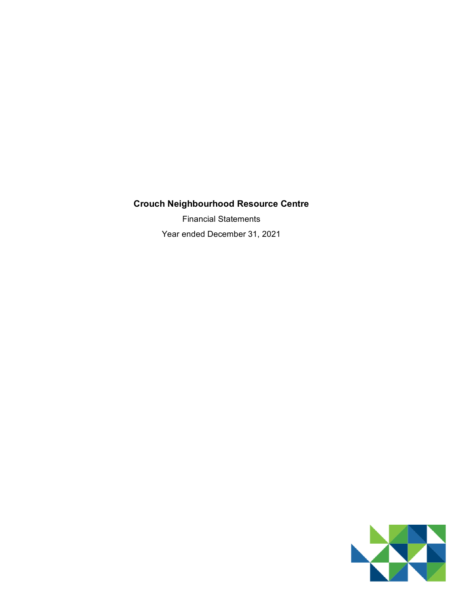Financial Statements Year ended December 31, 2021

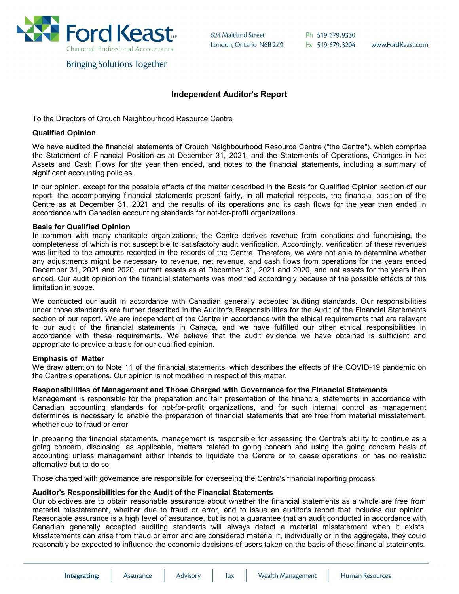

**Bringing Solutions Together** 

624 Maitland Street London, Ontario N6B 2Z9

Ph 519.679.9330 Fx 519.679.3204

# **Independent Auditor's Report**

To the Directors of Crouch Neighbourhood Resource Centre

#### **Qualified Opinion**

We have audited the financial statements of Crouch Neighbourhood Resource Centre ("the Centre"), which comprise the Statement of Financial Position as at December 31, 2021, and the Statements of Operations, Changes in Net Assets and Cash Flows for the year then ended, and notes to the financial statements, including a summary of significant accounting policies.

In our opinion, except for the possible effects of the matter described in the Basis for Qualified Opinion section of our report, the accompanying financial statements present fairly, in all material respects, the financial position of the Centre as at December 31, 2021 and the results of its operations and its cash flows for the year then ended in accordance with Canadian accounting standards for not-for-profit organizations.

#### **Basis for Qualified Opinion**

In common with many charitable organizations, the Centre derives revenue from donations and fundraising, the completeness of which is not susceptible to satisfactory audit verification. Accordingly, verification of these revenues was limited to the amounts recorded in the records of the Centre. Therefore, we were not able to determine whether any adjustments might be necessary to revenue, net revenue, and cash flows from operations for the years ended December 31, 2021 and 2020, current assets as at December 31, 2021 and 2020, and net assets for the years then ended. Our audit opinion on the financial statements was modified accordingly because of the possible effects of this limitation in scope.

We conducted our audit in accordance with Canadian generally accepted auditing standards. Our responsibilities under those standards are further described in the Auditor's Responsibilities for the Audit of the Financial Statements section of our report. We are independent of the Centre in accordance with the ethical requirements that are relevant to our audit of the financial statements in Canada, and we have fulfilled our other ethical responsibilities in accordance with these requirements. We believe that the audit evidence we have obtained is sufficient and appropriate to provide a basis for our qualified opinion.

#### **Emphasis of Matter**

We draw attention to Note 11 of the financial statements, which describes the effects of the COVID-19 pandemic on the Centre's operations. Our opinion is not modified in respect of this matter.

#### **Responsibilities of Management and Those Charged with Governance for the Financial Statements**

Management is responsible for the preparation and fair presentation of the financial statements in accordance with Canadian accounting standards for not-for-profit organizations, and for such internal control as management determines is necessary to enable the preparation of financial statements that are free from material misstatement, whether due to fraud or error.

In preparing the financial statements, management is responsible for assessing the Centre's ability to continue as a going concern, disclosing, as applicable, matters related to going concern and using the going concern basis of accounting unless management either intends to liquidate the Centre or to cease operations, or has no realistic alternative but to do so.

Those charged with governance are responsible for overseeing the Centre's financial reporting process.

#### **Auditor's Responsibilities for the Audit of the Financial Statements**

Our objectives are to obtain reasonable assurance about whether the financial statements as a whole are free from material misstatement, whether due to fraud or error, and to issue an auditor's report that includes our opinion. Reasonable assurance is a high level of assurance, but is not a guarantee that an audit conducted in accordance with Canadian generally accepted auditing standards will always detect a material misstatement when it exists. Misstatements can arise from fraud or error and are considered material if, individually or in the aggregate, they could reasonably be expected to influence the economic decisions of users taken on the basis of these financial statements.

Tax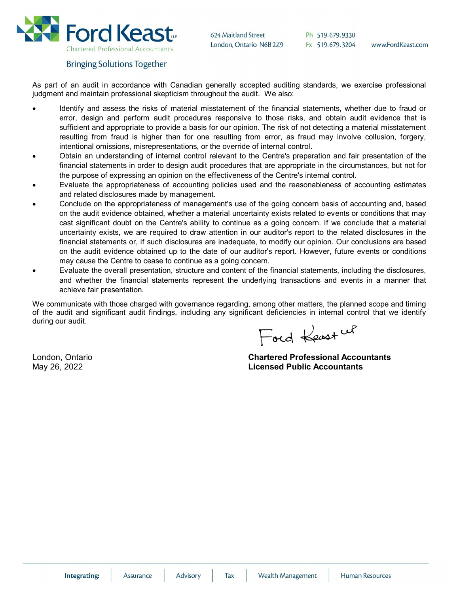

Ph 519.679.9330 Fx 519.679.3204

### **Bringing Solutions Together**

As part of an audit in accordance with Canadian generally accepted auditing standards, we exercise professional judgment and maintain professional skepticism throughout the audit. We also:

- · Identify and assess the risks of material misstatement of the financial statements, whether due to fraud or error, design and perform audit procedures responsive to those risks, and obtain audit evidence that is sufficient and appropriate to provide a basis for our opinion. The risk of not detecting a material misstatement resulting from fraud is higher than for one resulting from error, as fraud may involve collusion, forgery, intentional omissions, misrepresentations, or the override of internal control.
- · Obtain an understanding of internal control relevant to the Centre's preparation and fair presentation of the financial statements in order to design audit procedures that are appropriate in the circumstances, but not for the purpose of expressing an opinion on the effectiveness of the Centre's internal control.
- Evaluate the appropriateness of accounting policies used and the reasonableness of accounting estimates and related disclosures made by management.
- · Conclude on the appropriateness of management's use of the going concern basis of accounting and, based on the audit evidence obtained, whether a material uncertainty exists related to events or conditions that may cast significant doubt on the Centre's ability to continue as a going concern. If we conclude that a material uncertainty exists, we are required to draw attention in our auditor's report to the related disclosures in the financial statements or, if such disclosures are inadequate, to modify our opinion. Our conclusions are based on the audit evidence obtained up to the date of our auditor's report. However, future events or conditions may cause the Centre to cease to continue as a going concern.
- Evaluate the overall presentation, structure and content of the financial statements, including the disclosures, and whether the financial statements represent the underlying transactions and events in a manner that achieve fair presentation.

We communicate with those charged with governance regarding, among other matters, the planned scope and timing of the audit and significant audit findings, including any significant deficiencies in internal control that we identify during our audit.

Ford Keast up

London, Ontario **Chartered Professional Accountants** May 26, 2022 **Licensed Public Accountants**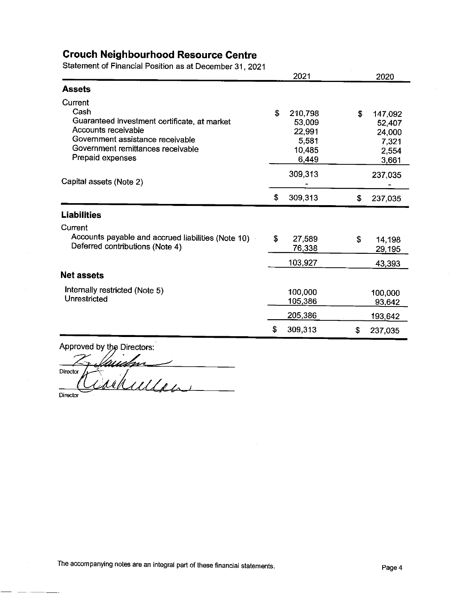Statement of Financial Position as at December 31, 2021

|                                                                                                                                                                                     |         | 2021                                                    | 2020                                                         |  |
|-------------------------------------------------------------------------------------------------------------------------------------------------------------------------------------|---------|---------------------------------------------------------|--------------------------------------------------------------|--|
| <b>Assets</b>                                                                                                                                                                       |         |                                                         |                                                              |  |
| Current<br>Cash<br>Guaranteed investment certificate, at market<br>Accounts receivable<br>Government assistance receivable<br>Government remittances receivable<br>Prepaid expenses | \$      | 210,798<br>53,009<br>22,991<br>5,581<br>10,485<br>6,449 | \$<br>147,092<br>52,407<br>24,000<br>7,321<br>2,554<br>3,661 |  |
| Capital assets (Note 2)                                                                                                                                                             | 309,313 |                                                         | 237,035                                                      |  |
|                                                                                                                                                                                     | \$      | 309,313                                                 | \$<br>237,035                                                |  |
| <b>Liabilities</b>                                                                                                                                                                  |         |                                                         |                                                              |  |
| Current<br>Accounts payable and accrued liabilities (Note 10)<br>Deferred contributions (Note 4)                                                                                    | \$      | 27,589<br>76,338                                        | \$<br>14,198<br>29,195                                       |  |
|                                                                                                                                                                                     |         | 103,927                                                 | 43,393                                                       |  |
| <b>Net assets</b>                                                                                                                                                                   |         |                                                         |                                                              |  |
| Internally restricted (Note 5)<br>Unrestricted                                                                                                                                      |         | 100,000<br>105,386                                      | 100,000<br>93,642                                            |  |
|                                                                                                                                                                                     |         | 205,386                                                 | 193,642                                                      |  |
|                                                                                                                                                                                     | \$      | 309,313                                                 | \$<br>237,035                                                |  |

Approved by the Directors:

Approved by the Directors.

Director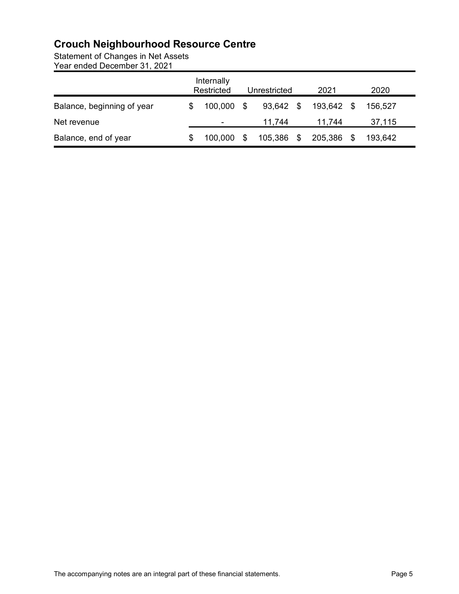Statement of Changes in Net Assets Year ended December 31, 2021

|                            |     | Internally<br>Restricted | Unrestricted |            |  | 2021       |      |         | 2020 |  |
|----------------------------|-----|--------------------------|--------------|------------|--|------------|------|---------|------|--|
| Balance, beginning of year | \$. | 100,000                  | - SS         | 93,642 \$  |  | 193,642 \$ |      | 156.527 |      |  |
| Net revenue                |     |                          |              | 11.744     |  | 11,744     |      | 37,115  |      |  |
| Balance, end of year       | S   | 100,000                  | -S           | 105,386 \$ |  | 205,386    | - \$ | 193,642 |      |  |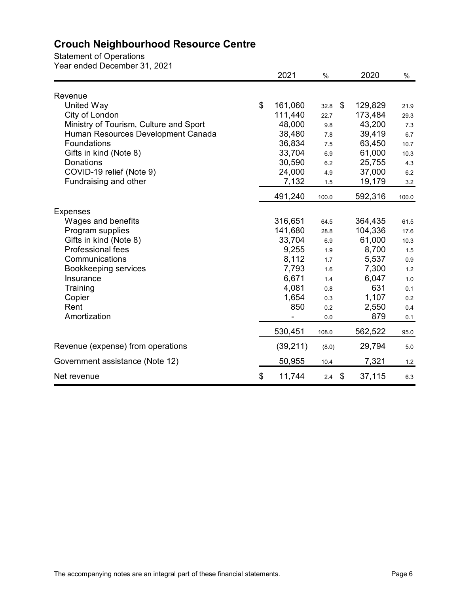Statement of Operations Year ended December 31, 2021

|                                        | 2021          | %          | 2020    | %     |
|----------------------------------------|---------------|------------|---------|-------|
| Revenue                                |               |            |         |       |
| United Way                             | \$<br>161,060 | \$<br>32.8 | 129,829 | 21.9  |
| City of London                         | 111,440       | 22.7       | 173,484 | 29.3  |
| Ministry of Tourism, Culture and Sport | 48,000        | 9.8        | 43,200  | 7.3   |
| Human Resources Development Canada     | 38,480        | 7.8        | 39,419  | 6.7   |
| Foundations                            | 36,834        | 7.5        | 63,450  | 10.7  |
| Gifts in kind (Note 8)                 | 33,704        | 6.9        | 61,000  | 10.3  |
| <b>Donations</b>                       | 30,590        | 6.2        | 25,755  | 4.3   |
| COVID-19 relief (Note 9)               | 24,000        | 4.9        | 37,000  | 6.2   |
| Fundraising and other                  | 7,132         | 1.5        | 19,179  | 3.2   |
|                                        | 491,240       | 100.0      | 592,316 | 100.0 |
| <b>Expenses</b>                        |               |            |         |       |
| Wages and benefits                     | 316,651       | 64.5       | 364,435 | 61.5  |
| Program supplies                       | 141,680       | 28.8       | 104,336 | 17.6  |
| Gifts in kind (Note 8)                 | 33,704        | 6.9        | 61,000  | 10.3  |
| <b>Professional fees</b>               | 9,255         | 1.9        | 8,700   | 1.5   |
| Communications                         | 8,112         | 1.7        | 5,537   | 0.9   |
| Bookkeeping services                   | 7,793         | 1.6        | 7,300   | 1.2   |
| Insurance                              | 6,671         | 1.4        | 6,047   | $1.0$ |
| Training                               | 4,081         | 0.8        | 631     | 0.1   |
| Copier                                 | 1,654         | 0.3        | 1,107   | 0.2   |
| Rent                                   | 850           | 0.2        | 2,550   | 0.4   |
| Amortization                           |               | 0.0        | 879     | 0.1   |
|                                        | 530,451       | 108.0      | 562,522 | 95.0  |
| Revenue (expense) from operations      | (39, 211)     | (8.0)      | 29,794  | 5.0   |
| Government assistance (Note 12)        | 50,955        | 10.4       | 7,321   | $1.2$ |
| Net revenue                            | \$<br>11,744  | \$<br>2.4  | 37,115  | 6.3   |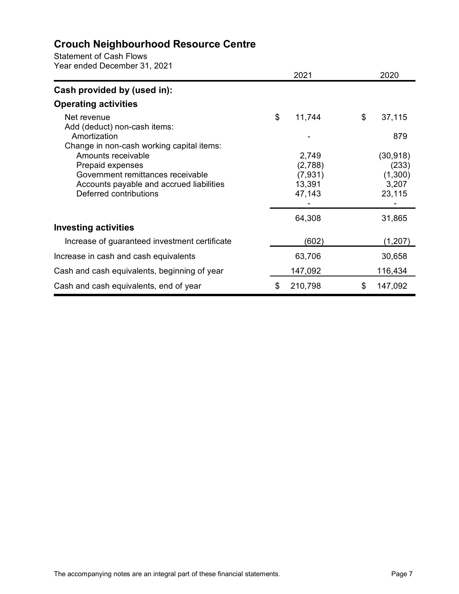Statement of Cash Flows Year ended December 31, 2021

|                                                                                           | 2021          | 2020          |
|-------------------------------------------------------------------------------------------|---------------|---------------|
| Cash provided by (used in):                                                               |               |               |
| <b>Operating activities</b>                                                               |               |               |
| Net revenue                                                                               | \$<br>11,744  | \$<br>37,115  |
| Add (deduct) non-cash items:<br>Amortization<br>Change in non-cash working capital items: |               | 879           |
| Amounts receivable                                                                        | 2,749         | (30, 918)     |
| Prepaid expenses                                                                          | (2,788)       | (233)         |
| Government remittances receivable                                                         | (7, 931)      | (1,300)       |
| Accounts payable and accrued liabilities                                                  | 13,391        | 3,207         |
| Deferred contributions                                                                    | 47,143        | 23,115        |
|                                                                                           |               |               |
|                                                                                           | 64,308        | 31,865        |
| <b>Investing activities</b>                                                               |               |               |
| Increase of guaranteed investment certificate                                             | (602)         | (1, 207)      |
| Increase in cash and cash equivalents                                                     | 63,706        | 30,658        |
| Cash and cash equivalents, beginning of year                                              | 147,092       | 116,434       |
| Cash and cash equivalents, end of year                                                    | \$<br>210,798 | \$<br>147,092 |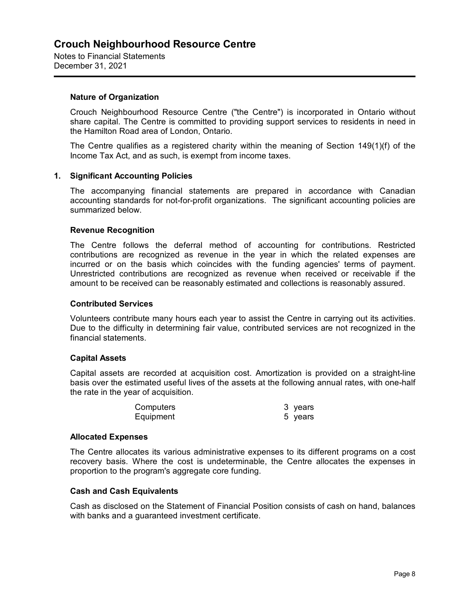Notes to Financial Statements December 31, 2021

# **Nature of Organization**

Crouch Neighbourhood Resource Centre ("the Centre") is incorporated in Ontario without share capital. The Centre is committed to providing support services to residents in need in the Hamilton Road area of London, Ontario.

The Centre qualifies as a registered charity within the meaning of Section 149(1)(f) of the Income Tax Act, and as such, is exempt from income taxes.

# **1. Significant Accounting Policies**

The accompanying financial statements are prepared in accordance with Canadian accounting standards for not-for-profit organizations. The significant accounting policies are summarized below.

# **Revenue Recognition**

The Centre follows the deferral method of accounting for contributions. Restricted contributions are recognized as revenue in the year in which the related expenses are incurred or on the basis which coincides with the funding agencies' terms of payment. Unrestricted contributions are recognized as revenue when received or receivable if the amount to be received can be reasonably estimated and collections is reasonably assured.

# **Contributed Services**

Volunteers contribute many hours each year to assist the Centre in carrying out its activities. Due to the difficulty in determining fair value, contributed services are not recognized in the financial statements.

# **Capital Assets**

Capital assets are recorded at acquisition cost. Amortization is provided on a straight-line basis over the estimated useful lives of the assets at the following annual rates, with one-half the rate in the year of acquisition.

| Computers | 3 years |
|-----------|---------|
| Equipment | 5 years |

#### **Allocated Expenses**

The Centre allocates its various administrative expenses to its different programs on a cost recovery basis. Where the cost is undeterminable, the Centre allocates the expenses in proportion to the program's aggregate core funding.

# **Cash and Cash Equivalents**

Cash as disclosed on the Statement of Financial Position consists of cash on hand, balances with banks and a guaranteed investment certificate.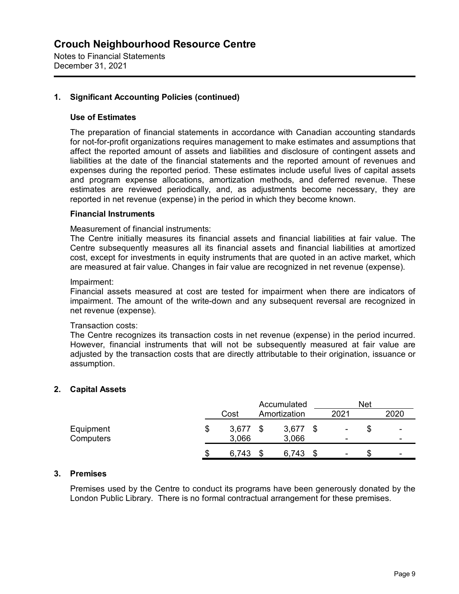Notes to Financial Statements December 31, 2021

# **1. Significant Accounting Policies (continued)**

### **Use of Estimates**

The preparation of financial statements in accordance with Canadian accounting standards for not-for-profit organizations requires management to make estimates and assumptions that affect the reported amount of assets and liabilities and disclosure of contingent assets and liabilities at the date of the financial statements and the reported amount of revenues and expenses during the reported period. These estimates include useful lives of capital assets and program expense allocations, amortization methods, and deferred revenue. These estimates are reviewed periodically, and, as adjustments become necessary, they are reported in net revenue (expense) in the period in which they become known.

#### **Financial Instruments**

#### Measurement of financial instruments:

The Centre initially measures its financial assets and financial liabilities at fair value. The Centre subsequently measures all its financial assets and financial liabilities at amortized cost, except for investments in equity instruments that are quoted in an active market, which are measured at fair value. Changes in fair value are recognized in net revenue (expense).

#### Impairment:

Financial assets measured at cost are tested for impairment when there are indicators of impairment. The amount of the write-down and any subsequent reversal are recognized in net revenue (expense).

#### Transaction costs:

The Centre recognizes its transaction costs in net revenue (expense) in the period incurred. However, financial instruments that will not be subsequently measured at fair value are adjusted by the transaction costs that are directly attributable to their origination, issuance or assumption.

# **2. Capital Assets**

|                        | Accumulated          |              |                |        | Net |                          |
|------------------------|----------------------|--------------|----------------|--------|-----|--------------------------|
|                        | Cost                 | Amortization |                | 2021   |     | 2020                     |
| Equipment<br>Computers | \$<br>3,677<br>3,066 |              | 3,677<br>3,066 | ۰<br>٠ |     | ۰<br>۰                   |
|                        | 6,743                |              | 6,743          | ۰      |     | $\overline{\phantom{a}}$ |

#### **3. Premises**

Premises used by the Centre to conduct its programs have been generously donated by the London Public Library. There is no formal contractual arrangement for these premises.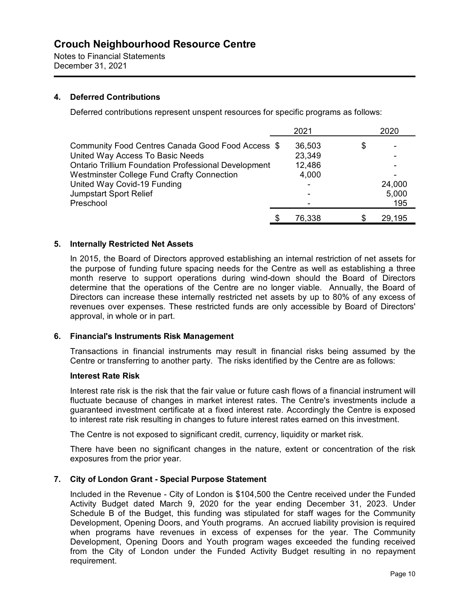Notes to Financial Statements December 31, 2021

# **4. Deferred Contributions**

Deferred contributions represent unspent resources for specific programs as follows:

|                                                             | 2021   |   | 2020   |
|-------------------------------------------------------------|--------|---|--------|
| Community Food Centres Canada Good Food Access \$           | 36,503 | S |        |
| United Way Access To Basic Needs                            | 23,349 |   | ۰      |
| <b>Ontario Trillium Foundation Professional Development</b> | 12,486 |   |        |
| <b>Westminster College Fund Crafty Connection</b>           | 4,000  |   |        |
| United Way Covid-19 Funding                                 |        |   | 24,000 |
| <b>Jumpstart Sport Relief</b>                               |        |   | 5,000  |
| Preschool                                                   |        |   | 195    |
|                                                             | 76,338 |   | 29,195 |

# **5. Internally Restricted Net Assets**

In 2015, the Board of Directors approved establishing an internal restriction of net assets for the purpose of funding future spacing needs for the Centre as well as establishing a three month reserve to support operations during wind-down should the Board of Directors determine that the operations of the Centre are no longer viable. Annually, the Board of Directors can increase these internally restricted net assets by up to 80% of any excess of revenues over expenses. These restricted funds are only accessible by Board of Directors' approval, in whole or in part.

# **6. Financial's Instruments Risk Management**

Transactions in financial instruments may result in financial risks being assumed by the Centre or transferring to another party. The risks identified by the Centre are as follows:

# **Interest Rate Risk**

Interest rate risk is the risk that the fair value or future cash flows of a financial instrument will fluctuate because of changes in market interest rates. The Centre's investments include a guaranteed investment certificate at a fixed interest rate. Accordingly the Centre is exposed to interest rate risk resulting in changes to future interest rates earned on this investment.

The Centre is not exposed to significant credit, currency, liquidity or market risk.

There have been no significant changes in the nature, extent or concentration of the risk exposures from the prior year.

# **7. City of London Grant - Special Purpose Statement**

Included in the Revenue - City of London is \$104,500 the Centre received under the Funded Activity Budget dated March 9, 2020 for the year ending December 31, 2023. Under Schedule B of the Budget, this funding was stipulated for staff wages for the Community Development, Opening Doors, and Youth programs. An accrued liability provision is required when programs have revenues in excess of expenses for the year. The Community Development, Opening Doors and Youth program wages exceeded the funding received from the City of London under the Funded Activity Budget resulting in no repayment requirement.